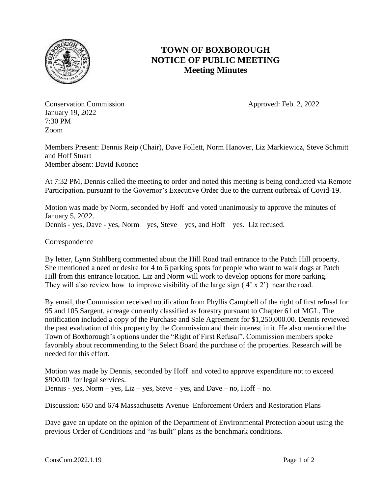

## **TOWN OF BOXBOROUGH NOTICE OF PUBLIC MEETING Meeting Minutes**

Conservation Commission **Approved: Feb. 2, 2022** January 19, 2022 7:30 PM Zoom

Members Present: Dennis Reip (Chair), Dave Follett, Norm Hanover, Liz Markiewicz, Steve Schmitt and Hoff Stuart Member absent: David Koonce

At 7:32 PM, Dennis called the meeting to order and noted this meeting is being conducted via Remote Participation, pursuant to the Governor's Executive Order due to the current outbreak of Covid-19.

Motion was made by Norm, seconded by Hoff and voted unanimously to approve the minutes of January 5, 2022. Dennis - yes, Dave - yes, Norm – yes, Steve – yes, and Hoff – yes. Liz recused.

Correspondence

By letter, Lynn Stahlberg commented about the Hill Road trail entrance to the Patch Hill property. She mentioned a need or desire for 4 to 6 parking spots for people who want to walk dogs at Patch Hill from this entrance location. Liz and Norm will work to develop options for more parking. They will also review how to improve visibility of the large sign (4' x 2') near the road.

By email, the Commission received notification from Phyllis Campbell of the right of first refusal for 95 and 105 Sargent, acreage currently classified as forestry pursuant to Chapter 61 of MGL. The notification included a copy of the Purchase and Sale Agreement for \$1,250,000.00. Dennis reviewed the past evaluation of this property by the Commission and their interest in it. He also mentioned the Town of Boxborough's options under the "Right of First Refusal". Commission members spoke favorably about recommending to the Select Board the purchase of the properties. Research will be needed for this effort.

Motion was made by Dennis, seconded by Hoff and voted to approve expenditure not to exceed \$900.00 for legal services. Dennis - yes, Norm – yes, Liz – yes, Steve – yes, and Dave – no, Hoff – no.

Discussion: 650 and 674 Massachusetts Avenue Enforcement Orders and Restoration Plans

Dave gave an update on the opinion of the Department of Environmental Protection about using the previous Order of Conditions and "as built" plans as the benchmark conditions.